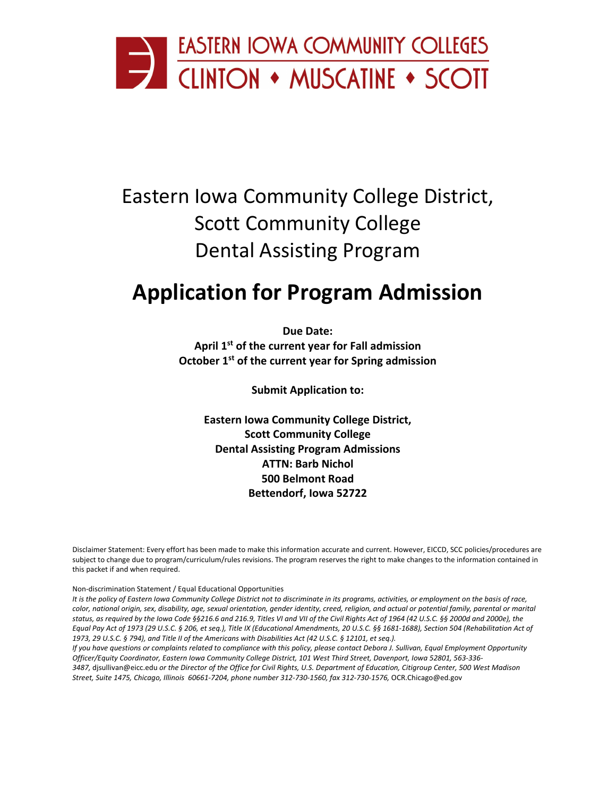

# Eastern Iowa Community College District, Scott Community College Dental Assisting Program

# **Application for Program Admission**

**Due Date: April 1st of the current year for Fall admission October 1st of the current year for Spring admission**

**Submit Application to:**

**Eastern Iowa Community College District, Scott Community College Dental Assisting Program Admissions ATTN: Barb Nichol 500 Belmont Road Bettendorf, Iowa 52722**

Disclaimer Statement: Every effort has been made to make this information accurate and current. However, EICCD, SCC policies/procedures are subject to change due to program/curriculum/rules revisions. The program reserves the right to make changes to the information contained in this packet if and when required.

Non-discrimination Statement / Equal Educational Opportunities

*It is the policy of Eastern Iowa Community College District not to discriminate in its programs, activities, or employment on the basis of race, color, national origin, sex, disability, age, sexual orientation, gender identity, creed, religion, and actual or potential family, parental or marital status, as required by the Iowa Code §§216.6 and 216.9, Titles VI and VII of the Civil Rights Act of 1964 (42 U.S.C. §§ 2000d and 2000e), the Equal Pay Act of 1973 (29 U.S.C. § 206, et seq.), Title IX (Educational Amendments, 20 U.S.C. §§ 1681-1688), Section 504 (Rehabilitation Act of 1973, 29 U.S.C. § 794), and Title II of the Americans with Disabilities Act (42 U.S.C. § 12101, et seq.).*

*If you have questions or complaints related to compliance with this policy, please contact Debora J. Sullivan, Equal Employment Opportunity Officer/Equity Coordinator, Eastern Iowa Community College District, 101 West Third Street, Davenport, Iowa 52801, 563-336- 3487,* [djsullivan@eicc.edu](mailto:djsullivan@eicc.edu) *or the Director of the Office for Civil Rights, U.S. Department of Education, Citigroup Center, 500 West Madison Street, Suite 1475, Chicago, Illinois 60661-7204, phone number 312-730-1560, fax 312-730-1576,* [OCR.Chicago@ed.gov](mailto:OCR.Chicago@ed.gov)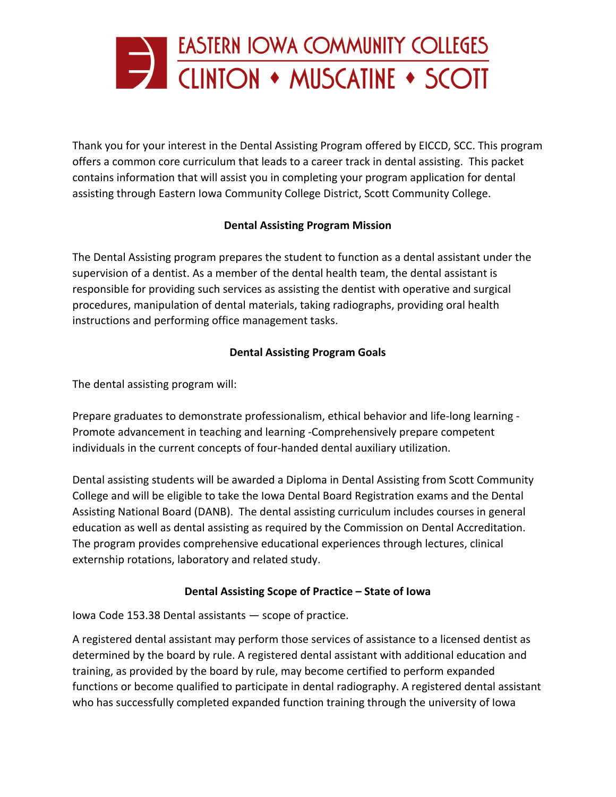

Thank you for your interest in the Dental Assisting Program offered by EICCD, SCC. This program offers a common core curriculum that leads to a career track in dental assisting. This packet contains information that will assist you in completing your program application for dental assisting through Eastern Iowa Community College District, Scott Community College.

## **Dental Assisting Program Mission**

The Dental Assisting program prepares the student to function as a dental assistant under the supervision of a dentist. As a member of the dental health team, the dental assistant is responsible for providing such services as assisting the dentist with operative and surgical procedures, manipulation of dental materials, taking radiographs, providing oral health instructions and performing office management tasks.

## **Dental Assisting Program Goals**

The dental assisting program will:

Prepare graduates to demonstrate professionalism, ethical behavior and life-long learning - Promote advancement in teaching and learning -Comprehensively prepare competent individuals in the current concepts of four-handed dental auxiliary utilization.

Dental assisting students will be awarded a Diploma in Dental Assisting from Scott Community College and will be eligible to take the Iowa Dental Board Registration exams and the Dental Assisting National Board (DANB). The dental assisting curriculum includes courses in general education as well as dental assisting as required by the Commission on Dental Accreditation. The program provides comprehensive educational experiences through lectures, clinical externship rotations, laboratory and related study.

### **Dental Assisting Scope of Practice – State of Iowa**

Iowa Code 153.38 Dental assistants — scope of practice.

A registered dental assistant may perform those services of assistance to a licensed dentist as determined by the board by rule. A registered dental assistant with additional education and training, as provided by the board by rule, may become certified to perform expanded functions or become qualified to participate in dental radiography. A registered dental assistant who has successfully completed expanded function training through the university of Iowa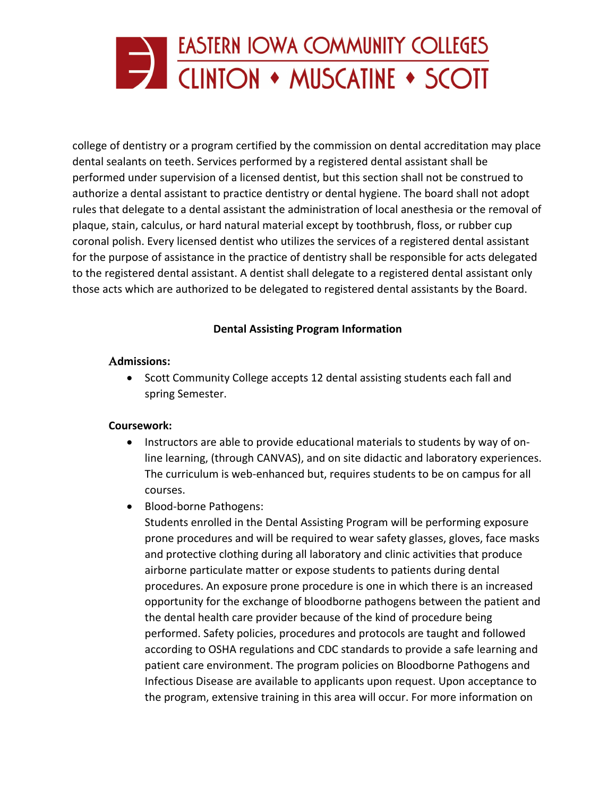

college of dentistry or a program certified by the commission on dental accreditation may place dental sealants on teeth. Services performed by a registered dental assistant shall be performed under supervision of a licensed dentist, but this section shall not be construed to authorize a dental assistant to practice dentistry or dental hygiene. The board shall not adopt rules that delegate to a dental assistant the administration of local anesthesia or the removal of plaque, stain, calculus, or hard natural material except by toothbrush, floss, or rubber cup coronal polish. Every licensed dentist who utilizes the services of a registered dental assistant for the purpose of assistance in the practice of dentistry shall be responsible for acts delegated to the registered dental assistant. A dentist shall delegate to a registered dental assistant only those acts which are authorized to be delegated to registered dental assistants by the Board.

### **Dental Assisting Program Information**

### Α**dmissions:**

• Scott Community College accepts 12 dental assisting students each fall and spring Semester.

### **Coursework:**

- Instructors are able to provide educational materials to students by way of online learning, (through CANVAS), and on site didactic and laboratory experiences. The curriculum is web-enhanced but, requires students to be on campus for all courses.
- Blood-borne Pathogens:

Students enrolled in the Dental Assisting Program will be performing exposure prone procedures and will be required to wear safety glasses, gloves, face masks and protective clothing during all laboratory and clinic activities that produce airborne particulate matter or expose students to patients during dental procedures. An exposure prone procedure is one in which there is an increased opportunity for the exchange of bloodborne pathogens between the patient and the dental health care provider because of the kind of procedure being performed. Safety policies, procedures and protocols are taught and followed according to OSHA regulations and CDC standards to provide a safe learning and patient care environment. The program policies on Bloodborne Pathogens and Infectious Disease are available to applicants upon request. Upon acceptance to the program, extensive training in this area will occur. For more information on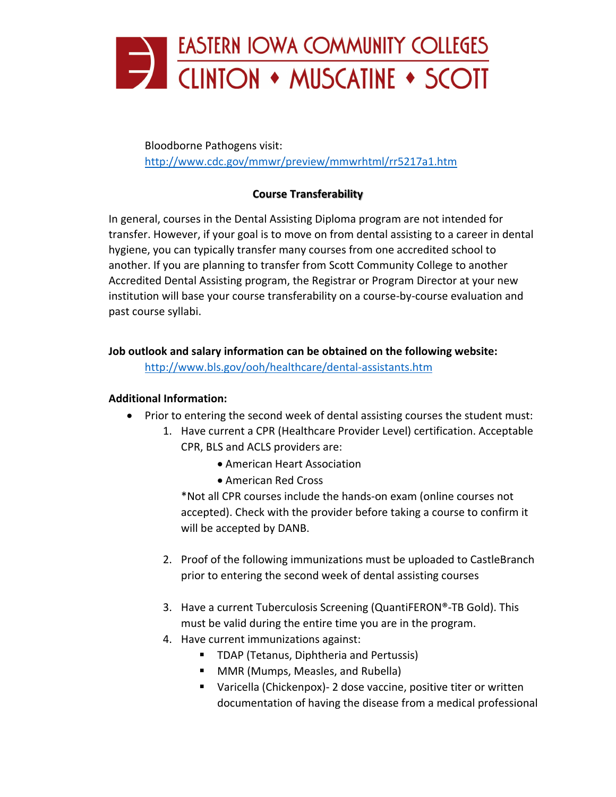

Bloodborne Pathogens visit: <http://www.cdc.gov/mmwr/preview/mmwrhtml/rr5217a1.htm>

## **Course Transferability**

In general, courses in the Dental Assisting Diploma program are not intended for transfer. However, if your goal is to move on from dental assisting to a career in dental hygiene, you can typically transfer many courses from one accredited school to another. If you are planning to transfer from Scott Community College to another Accredited Dental Assisting program, the Registrar or Program Director at your new institution will base your course transferability on a course-by-course evaluation and past course syllabi.

**Job outlook and salary information can be obtained on the following website:**

<http://www.bls.gov/ooh/healthcare/dental-assistants.htm>

### **Additional Information:**

- Prior to entering the second week of dental assisting courses the student must:
	- 1. Have current a CPR (Healthcare Provider Level) certification. Acceptable CPR, BLS and ACLS providers are:
		- American Heart Association
		- American Red Cross

\*Not all CPR courses include the hands-on exam (online courses not accepted). Check with the provider before taking a course to confirm it will be accepted by DANB.

- 2. Proof of the following immunizations must be uploaded to CastleBranch prior to entering the second week of dental assisting courses
- 3. Have a current Tuberculosis Screening (QuantiFERON®-TB Gold). This must be valid during the entire time you are in the program.
- 4. Have current immunizations against:
	- **TDAP (Tetanus, Diphtheria and Pertussis)**
	- **MMR (Mumps, Measles, and Rubella)**
	- Varicella (Chickenpox)- 2 dose vaccine, positive titer or written documentation of having the disease from a medical professional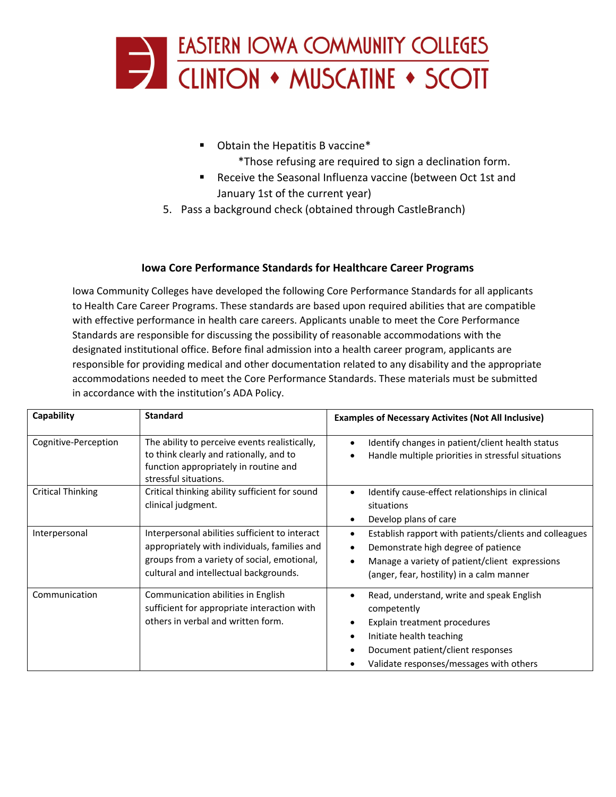

- **•** Obtain the Hepatitis B vaccine\*
	- \*Those refusing are required to sign a declination form.
- Receive the Seasonal Influenza vaccine (between Oct 1st and January 1st of the current year)
- 5. Pass a background check (obtained through CastleBranch)

### **Iowa Core Performance Standards for Healthcare Career Programs**

Iowa Community Colleges have developed the following Core Performance Standards for all applicants to Health Care Career Programs. These standards are based upon required abilities that are compatible with effective performance in health care careers. Applicants unable to meet the Core Performance Standards are responsible for discussing the possibility of reasonable accommodations with the designated institutional office. Before final admission into a health career program, applicants are responsible for providing medical and other documentation related to any disability and the appropriate accommodations needed to meet the Core Performance Standards. These materials must be submitted in accordance with the institution's ADA Policy.

| Capability               | <b>Standard</b>                                                                                                                                                                         | <b>Examples of Necessary Activites (Not All Inclusive)</b>                                                                                                                                           |  |  |
|--------------------------|-----------------------------------------------------------------------------------------------------------------------------------------------------------------------------------------|------------------------------------------------------------------------------------------------------------------------------------------------------------------------------------------------------|--|--|
| Cognitive-Perception     | The ability to perceive events realistically,<br>to think clearly and rationally, and to<br>function appropriately in routine and<br>stressful situations.                              | Identify changes in patient/client health status<br>Handle multiple priorities in stressful situations                                                                                               |  |  |
| <b>Critical Thinking</b> | Critical thinking ability sufficient for sound<br>clinical judgment.                                                                                                                    | Identify cause-effect relationships in clinical<br>situations<br>Develop plans of care                                                                                                               |  |  |
| Interpersonal            | Interpersonal abilities sufficient to interact<br>appropriately with individuals, families and<br>groups from a variety of social, emotional,<br>cultural and intellectual backgrounds. | Establish rapport with patients/clients and colleagues<br>Demonstrate high degree of patience<br>Manage a variety of patient/client expressions<br>(anger, fear, hostility) in a calm manner         |  |  |
| Communication            | Communication abilities in English<br>sufficient for appropriate interaction with<br>others in verbal and written form.                                                                 | Read, understand, write and speak English<br>competently<br>Explain treatment procedures<br>Initiate health teaching<br>Document patient/client responses<br>Validate responses/messages with others |  |  |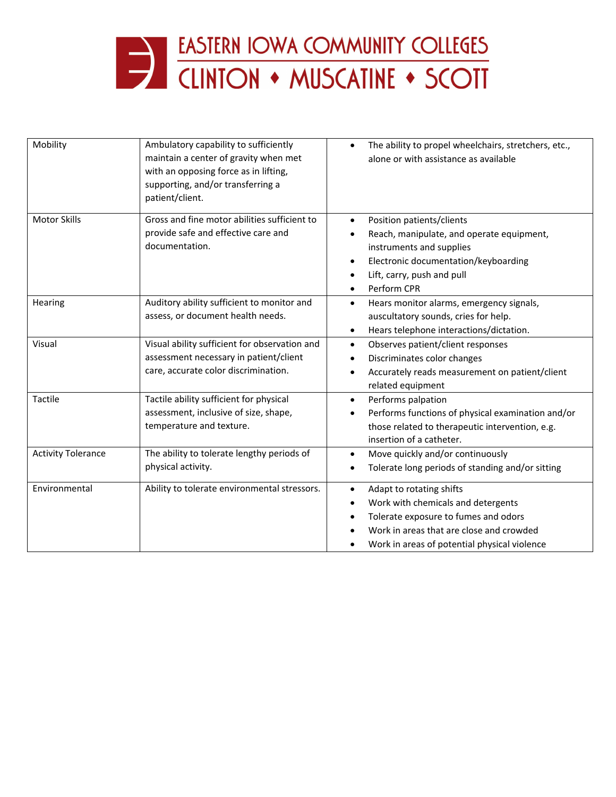

| Mobility                  | Ambulatory capability to sufficiently<br>maintain a center of gravity when met<br>with an opposing force as in lifting,<br>supporting, and/or transferring a<br>patient/client. | The ability to propel wheelchairs, stretchers, etc.,<br>$\bullet$<br>alone or with assistance as available                                                                                                                        |
|---------------------------|---------------------------------------------------------------------------------------------------------------------------------------------------------------------------------|-----------------------------------------------------------------------------------------------------------------------------------------------------------------------------------------------------------------------------------|
| <b>Motor Skills</b>       | Gross and fine motor abilities sufficient to<br>provide safe and effective care and<br>documentation.                                                                           | Position patients/clients<br>$\bullet$<br>Reach, manipulate, and operate equipment,<br>instruments and supplies<br>Electronic documentation/keyboarding<br>$\bullet$<br>Lift, carry, push and pull<br>Perform CPR<br>$\bullet$    |
| Hearing                   | Auditory ability sufficient to monitor and<br>assess, or document health needs.                                                                                                 | Hears monitor alarms, emergency signals,<br>$\bullet$<br>auscultatory sounds, cries for help.<br>Hears telephone interactions/dictation.<br>٠                                                                                     |
| Visual                    | Visual ability sufficient for observation and<br>assessment necessary in patient/client<br>care, accurate color discrimination.                                                 | Observes patient/client responses<br>$\bullet$<br>Discriminates color changes<br>$\bullet$<br>Accurately reads measurement on patient/client<br>$\bullet$<br>related equipment                                                    |
| Tactile                   | Tactile ability sufficient for physical<br>assessment, inclusive of size, shape,<br>temperature and texture.                                                                    | Performs palpation<br>$\bullet$<br>Performs functions of physical examination and/or<br>$\bullet$<br>those related to therapeutic intervention, e.g.<br>insertion of a catheter.                                                  |
| <b>Activity Tolerance</b> | The ability to tolerate lengthy periods of<br>physical activity.                                                                                                                | Move quickly and/or continuously<br>$\bullet$<br>Tolerate long periods of standing and/or sitting<br>$\bullet$                                                                                                                    |
| Environmental             | Ability to tolerate environmental stressors.                                                                                                                                    | Adapt to rotating shifts<br>$\bullet$<br>Work with chemicals and detergents<br>$\bullet$<br>Tolerate exposure to fumes and odors<br>٠<br>Work in areas that are close and crowded<br>Work in areas of potential physical violence |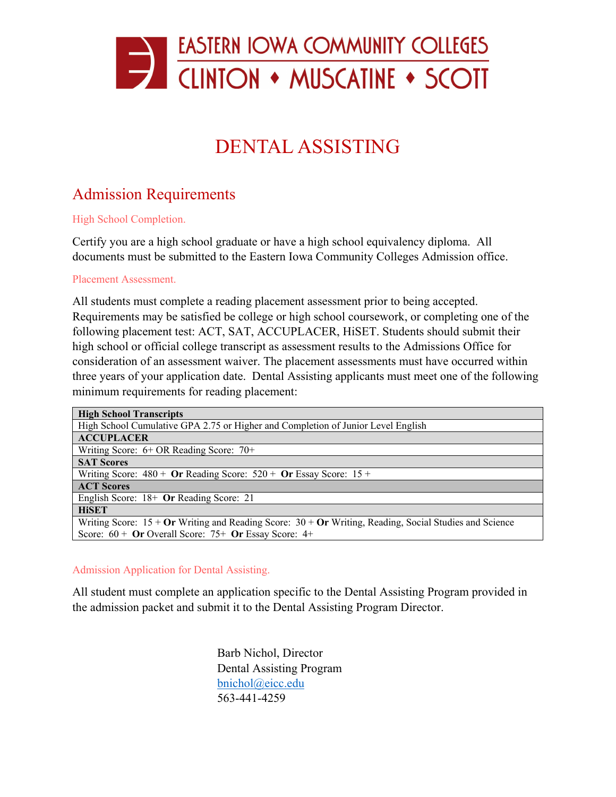

# DENTAL ASSISTING

# Admission Requirements

High School Completion.

Certify you are a high school graduate or have a high school equivalency diploma. All documents must be submitted to the Eastern Iowa Community Colleges Admission office.

Placement Assessment.

All students must complete a reading placement assessment prior to being accepted. Requirements may be satisfied be college or high school coursework, or completing one of the following placement test: ACT, SAT, ACCUPLACER, HiSET. Students should submit their high school or official college transcript as assessment results to the Admissions Office for consideration of an assessment waiver. The placement assessments must have occurred within three years of your application date. Dental Assisting applicants must meet one of the following minimum requirements for reading placement:

| <b>High School Transcripts</b>                                                                                          |
|-------------------------------------------------------------------------------------------------------------------------|
| High School Cumulative GPA 2.75 or Higher and Completion of Junior Level English                                        |
| <b>ACCUPLACER</b>                                                                                                       |
| Writing Score: $6+OR$ Reading Score: $70+$                                                                              |
| <b>SAT Scores</b>                                                                                                       |
| Writing Score: $480 +$ Or Reading Score: $520 +$ Or Essay Score: 15 +                                                   |
| <b>ACT Scores</b>                                                                                                       |
| English Score: 18+ Or Reading Score: 21                                                                                 |
| <b>HiSET</b>                                                                                                            |
| Writing Score: $15 + \text{Or Writing and Reading Score: } 30 + \text{Or Writing, Reading, Social Studies and Science}$ |
| Score: $60 +$ Or Overall Score: 75+ Or Essay Score: 4+                                                                  |

#### Admission Application for Dental Assisting.

All student must complete an application specific to the Dental Assisting Program provided in the admission packet and submit it to the Dental Assisting Program Director.

> Barb Nichol, Director Dental Assisting Program [bnichol@eicc.edu](mailto:bnichol@eicc.edu) 563-441-4259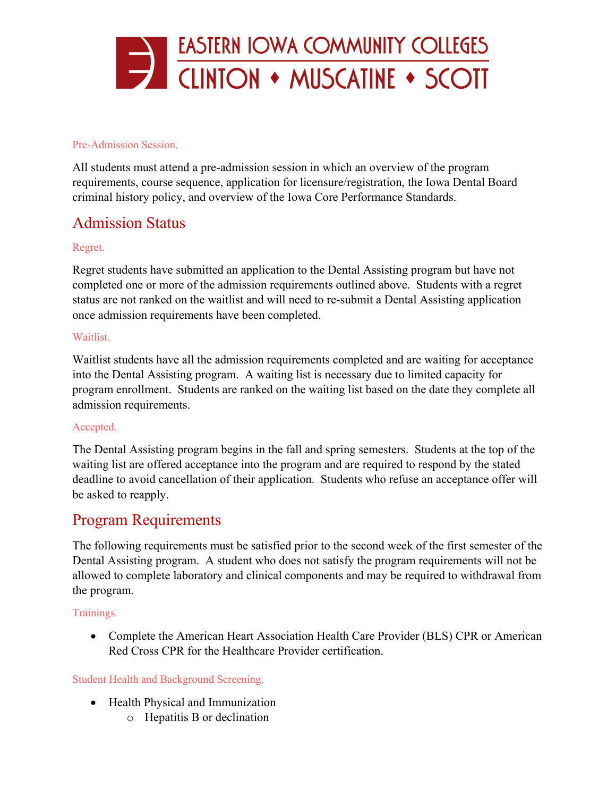

#### Pre-Admission Session.

All students must attend a pre-admission session in which an overview of the program requirements, course sequence, application for licensure/registration, the Iowa Dental Board criminal history policy, and overview of the Iowa Core Performance Standards.

# Admission Status

### Regret.

Regret students have submitted an application to the Dental Assisting program but have not completed one or more of the admission requirements outlined above. Students with a regret status are not ranked on the waitlist and will need to re-submit a Dental Assisting application once admission requirements have been completed.

### Waitlist.

Waitlist students have all the admission requirements completed and are waiting for acceptance into the Dental Assisting program. A waiting list is necessary due to limited capacity for program enrollment. Students are ranked on the waiting list based on the date they complete all admission requirements.

#### Accepted.

The Dental Assisting program begins in the fall and spring semesters. Students at the top of the waiting list are offered acceptance into the program and are required to respond by the stated deadline to avoid cancellation of their application. Students who refuse an acceptance offer will be asked to reapply.

## Program Requirements

The following requirements must be satisfied prior to the second week of the first semester of the Dental Assisting program. A student who does not satisfy the program requirements will not be allowed to complete laboratory and clinical components and may be required to withdrawal from the program.

#### Trainings.

• Complete the American Heart Association Health Care Provider (BLS) CPR or American Red Cross CPR for the Healthcare Provider certification.

#### Student Health and Background Screening.

- Health Physical and Immunization
	- o Hepatitis B or declination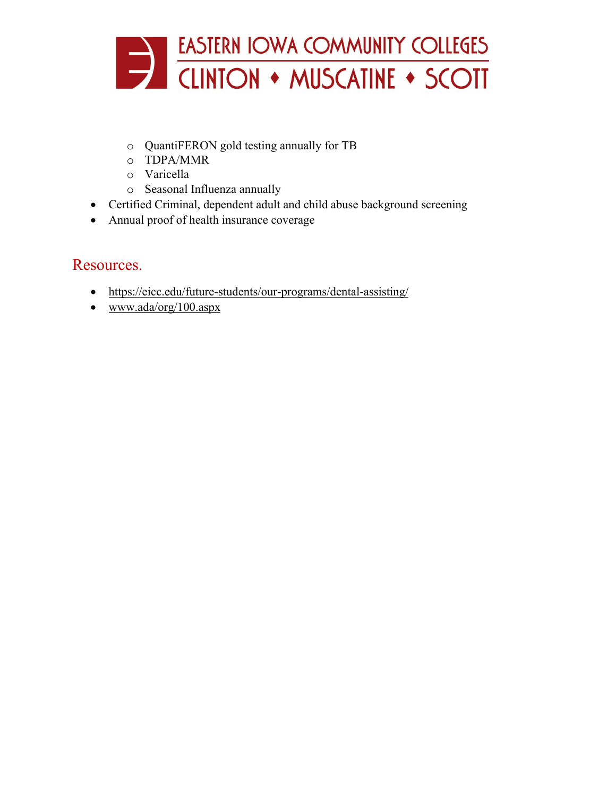

- o QuantiFERON gold testing annually for TB
- o TDPA/MMR
- o Varicella
- o Seasonal Influenza annually
- Certified Criminal, dependent adult and child abuse background screening
- Annual proof of health insurance coverage

## Resources.

- <https://eicc.edu/future-students/our-programs/dental-assisting/>
- [www.ada/org/100.aspx](http://www.ada/org/100.aspx)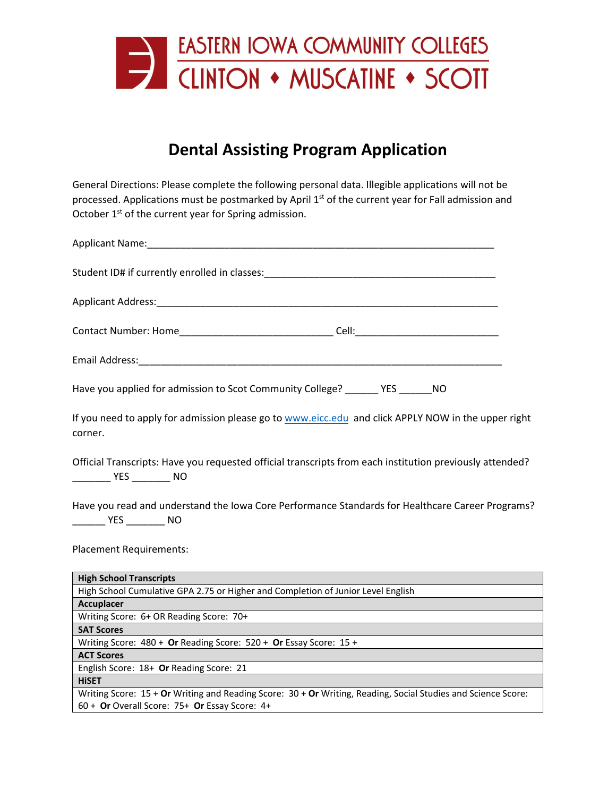

# **Dental Assisting Program Application**

General Directions: Please complete the following personal data. Illegible applications will not be processed. Applications must be postmarked by April 1st of the current year for Fall admission and October  $1<sup>st</sup>$  of the current year for Spring admission.

| Applicant Name: Name and Applicant Name and Applicant Name and Applicant Applicant Applicant Applicant Applicant Applicant Applicant Applicant Applicant Applicant Applicant Applicant Applicant Applicant Applicant Applicant |
|--------------------------------------------------------------------------------------------------------------------------------------------------------------------------------------------------------------------------------|
|                                                                                                                                                                                                                                |
|                                                                                                                                                                                                                                |
|                                                                                                                                                                                                                                |
|                                                                                                                                                                                                                                |
| Have you applied for admission to Scot Community College? ______ YES _____ NO                                                                                                                                                  |
| If you need to apply for admission please go to www.eicc.edu and click APPLY NOW in the upper right<br>corner.                                                                                                                 |
| Official Transcripts: Have you requested official transcripts from each institution previously attended?<br>_________ YES _________ NO                                                                                         |
| Have you read and understand the Iowa Core Performance Standards for Healthcare Career Programs?<br>________ YES _________ NO                                                                                                  |
| <b>Placement Requirements:</b>                                                                                                                                                                                                 |
| <b>High School Transcripts</b>                                                                                                                                                                                                 |
| High School Cumulative GPA 2.75 or Higher and Completion of Junior Level English                                                                                                                                               |
| Accuplacer                                                                                                                                                                                                                     |
| Writing Score: 6+ OR Reading Score: 70+                                                                                                                                                                                        |
| <b>SAT Scores</b>                                                                                                                                                                                                              |
| Writing Score: 480 + Or Reading Score: 520 + Or Essay Score: 15 +                                                                                                                                                              |
| <b>ACT Scores</b>                                                                                                                                                                                                              |
| English Score: 18+ Or Reading Score: 21                                                                                                                                                                                        |
| <b>HISET</b>                                                                                                                                                                                                                   |
| Writing Score: 15 + Or Writing and Reading Score: 30 + Or Writing, Reading, Social Studies and Science Score:<br>60 + Or Overall Score: 75+ Or Essay Score: 4+                                                                 |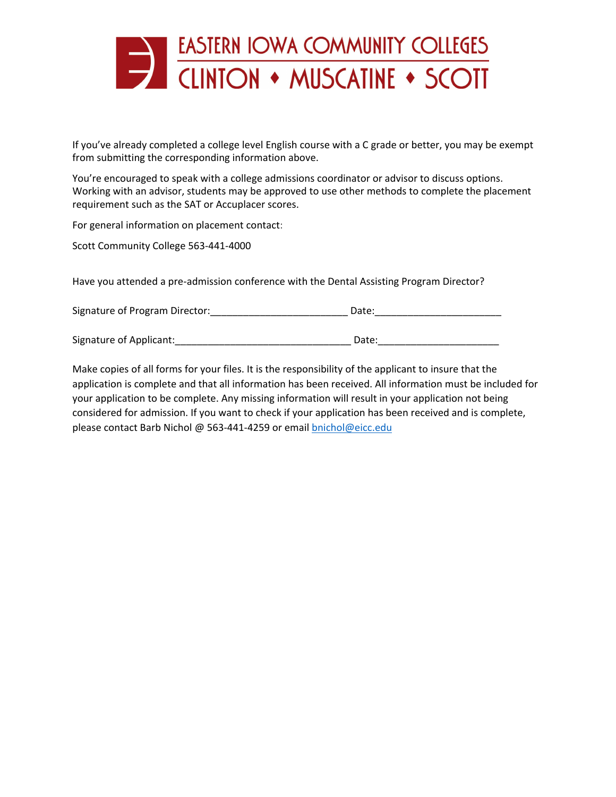

If you've already completed a college level English course with a C grade or better, you may be exempt from submitting the corresponding information above.

You're encouraged to speak with a college admissions coordinator or advisor to discuss options. Working with an advisor, students may be approved to use other methods to complete the placement requirement such as the SAT or Accuplacer scores.

For general information on placement contact:

Scott Community College 563-441-4000

Have you attended a pre-admission conference with the Dental Assisting Program Director?

| Signature of Program Director: | Date: |
|--------------------------------|-------|
|                                |       |

Signature of Applicant:\_\_\_\_\_\_\_\_\_\_\_\_\_\_\_\_\_\_\_\_\_\_\_\_\_\_\_\_\_\_\_\_ Date:\_\_\_\_\_\_\_\_\_\_\_\_\_\_\_\_\_\_\_\_\_\_

Make copies of all forms for your files. It is the responsibility of the applicant to insure that the application is complete and that all information has been received. All information must be included for your application to be complete. Any missing information will result in your application not being considered for admission. If you want to check if your application has been received and is complete, please contact Barb Nichol @ 563-441-4259 or email [bnichol@eicc.edu](mailto:bnichol@eicc.edu)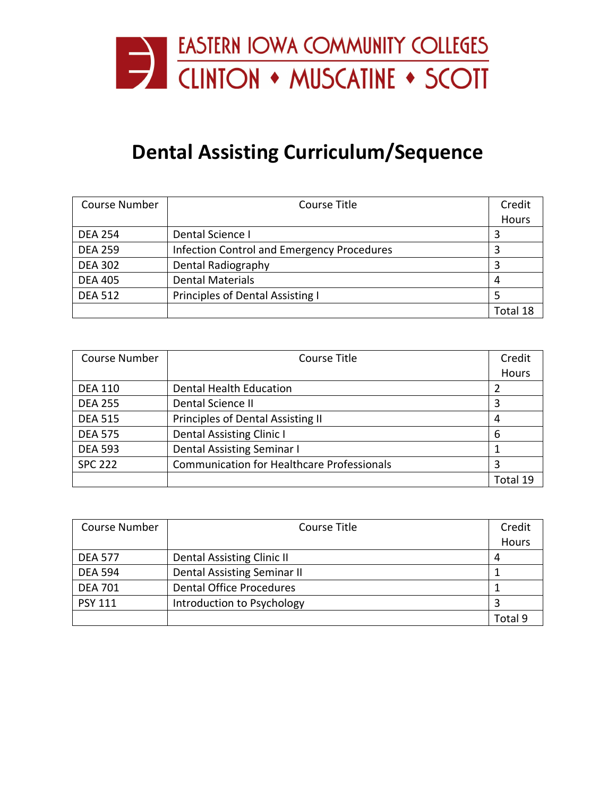

# **Dental Assisting Curriculum/Sequence**

| <b>Course Number</b> | Course Title                                      | Credit   |
|----------------------|---------------------------------------------------|----------|
|                      |                                                   | Hours    |
| <b>DEA 254</b>       | Dental Science I                                  |          |
| <b>DEA 259</b>       | <b>Infection Control and Emergency Procedures</b> |          |
| <b>DEA 302</b>       | Dental Radiography                                |          |
| <b>DEA 405</b>       | <b>Dental Materials</b>                           | 4        |
| <b>DEA 512</b>       | Principles of Dental Assisting I                  |          |
|                      |                                                   | Total 18 |

| <b>Course Number</b> | Course Title                                      | Credit   |
|----------------------|---------------------------------------------------|----------|
|                      |                                                   | Hours    |
| <b>DEA 110</b>       | <b>Dental Health Education</b>                    |          |
| <b>DEA 255</b>       | Dental Science II                                 | 3        |
| <b>DEA 515</b>       | <b>Principles of Dental Assisting II</b>          | 4        |
| <b>DEA 575</b>       | <b>Dental Assisting Clinic I</b>                  | 6        |
| <b>DEA 593</b>       | Dental Assisting Seminar I                        |          |
| <b>SPC 222</b>       | <b>Communication for Healthcare Professionals</b> | 3        |
|                      |                                                   | Total 19 |

| <b>Course Number</b> | Course Title                    | Credit  |
|----------------------|---------------------------------|---------|
|                      |                                 | Hours   |
| <b>DEA 577</b>       | Dental Assisting Clinic II      | 4       |
| <b>DEA 594</b>       | Dental Assisting Seminar II     |         |
| <b>DEA 701</b>       | <b>Dental Office Procedures</b> |         |
| <b>PSY 111</b>       | Introduction to Psychology      |         |
|                      |                                 | Total 9 |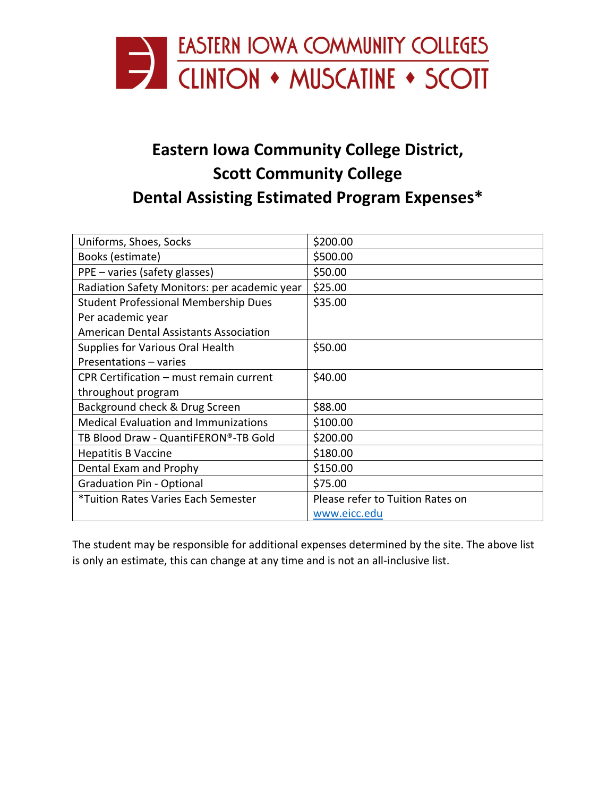

# **Eastern Iowa Community College District, Scott Community College Dental Assisting Estimated Program Expenses\***

| Uniforms, Shoes, Socks                        | \$200.00                         |  |
|-----------------------------------------------|----------------------------------|--|
| Books (estimate)                              | \$500.00                         |  |
| PPE - varies (safety glasses)                 | \$50.00                          |  |
| Radiation Safety Monitors: per academic year  | \$25.00                          |  |
| <b>Student Professional Membership Dues</b>   | \$35.00                          |  |
| Per academic year                             |                                  |  |
| <b>American Dental Assistants Association</b> |                                  |  |
| Supplies for Various Oral Health              | \$50.00                          |  |
| Presentations - varies                        |                                  |  |
| CPR Certification – must remain current       | \$40.00                          |  |
| throughout program                            |                                  |  |
| Background check & Drug Screen                | \$88.00                          |  |
| <b>Medical Evaluation and Immunizations</b>   | \$100.00                         |  |
| TB Blood Draw - QuantiFERON®-TB Gold          | \$200.00                         |  |
| <b>Hepatitis B Vaccine</b>                    | \$180.00                         |  |
| Dental Exam and Prophy                        | \$150.00                         |  |
| <b>Graduation Pin - Optional</b>              | \$75.00                          |  |
| <i>*Tuition Rates Varies Each Semester</i>    | Please refer to Tuition Rates on |  |
|                                               | www.eicc.edu                     |  |

The student may be responsible for additional expenses determined by the site. The above list is only an estimate, this can change at any time and is not an all-inclusive list.